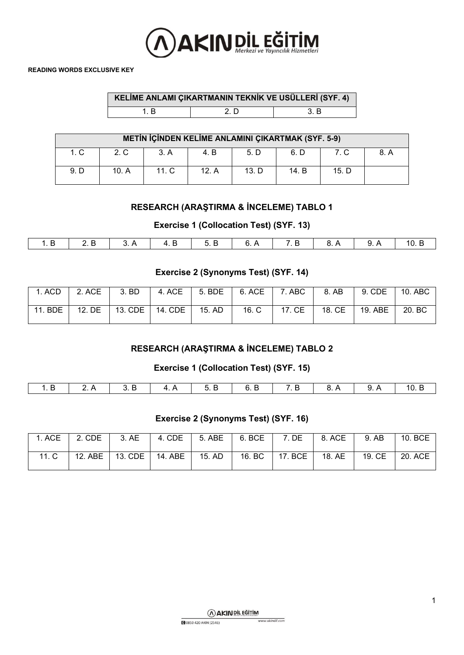

|     | KELİME ANLAMI ÇIKARTMANIN TEKNİK VE USÜLLERİ (SYF. 4) |     |
|-----|-------------------------------------------------------|-----|
| 1 R | 2 D                                                   | 3 B |

| METIN İÇİNDEN KELİME ANLAMINI ÇIKARTMAK (SYF. 5-9) |       |         |       |       |       |       |      |  |
|----------------------------------------------------|-------|---------|-------|-------|-------|-------|------|--|
| 1. C                                               | 2. C  | 3. A    | 4. B  | 5. D  | 6. D  | 7. C  | 8. A |  |
| 9. D                                               | 10. A | $111$ C | 12. A | 13. D | 14. B | 15. D |      |  |

## **RESEARCH (ARAŞTIRMA & İNCELEME) TABLO 1**

**Exercise 1 (Collocation Test) (SYF. 13)**

| . | $\overline{2}$ R | I 3 A |  |  | $\overline{a}$ | - 10 B |
|---|------------------|-------|--|--|----------------|--------|
|   |                  |       |  |  |                |        |

## **Exercise 2 (Synonyms Test) (SYF. 14)**

|                     | 1. ACD $\parallel$ 2. ACE | 3. BD                               |  | 4. ACE   5. BDE   6. ACE   7. ABC   8. AB | 9. CDE | 10. ABC |
|---------------------|---------------------------|-------------------------------------|--|-------------------------------------------|--------|---------|
| 11. BDE $\parallel$ |                           | 12. DE   13. CDE   14. CDE   15. AD |  | 16. C   17. CE   18. CE   19. ABE         |        | 20. BC  |

## **RESEARCH (ARAŞTIRMA & İNCELEME) TABLO 2**

#### **Exercise 1 (Collocation Test) (SYF. 15)**

|  | $\mathbf{u}$ | . . |  | ГU |
|--|--------------|-----|--|----|

#### **Exercise 2 (Synonyms Test) (SYF. 16)**

|       | 1. ACE $\parallel$ 2. CDE | 3. AE             | $4.$ CDE | $5.$ ABE | $6.$ BCE | 7. DE            | 8. ACE | 9. AB  | 10. BCE   |
|-------|---------------------------|-------------------|----------|----------|----------|------------------|--------|--------|-----------|
| 11. C | 12. ABE                   | 13. CDE   14. ABE |          | 15. AD   |          | 16. BC   17. BCE | 18. AE | 19. CE | $20.$ ACE |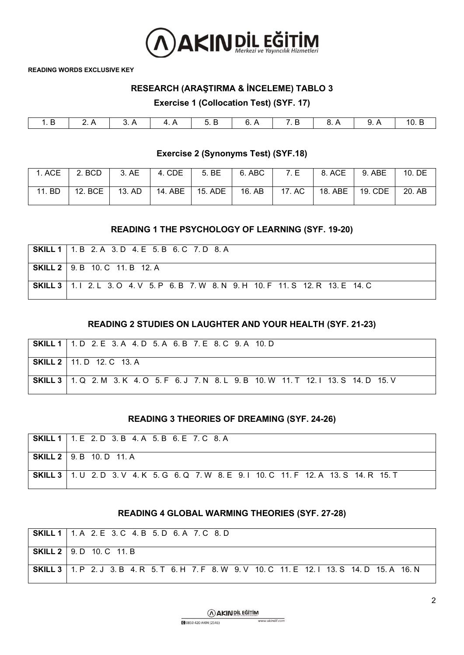

## **RESEARCH (ARAŞTIRMA & İNCELEME) TABLO 3**

**Exercise 1 (Collocation Test) (SYF. 17)**

#### **Exercise 2 (Synonyms Test) (SYF.18)**

|        | 1. ACE $\vert$ 2. BCD | 3. AE | 4. CDE | 5. BE             | 6. ABC | 7. E            | 8. ACE                          | 9. ABE | 10. DE |
|--------|-----------------------|-------|--------|-------------------|--------|-----------------|---------------------------------|--------|--------|
| 11. BD | 12. BCE   13. AD      |       |        | 14. ABE   15. ADE |        | 16. AB   17. AC | $\vert$ 18. ABE $\vert$ 19. CDE |        | 20. AB |

#### **READING 1 THE PSYCHOLOGY OF LEARNING (SYF. 19-20)**

| <b>SKILL 1</b>   1. B 2. A 3. D 4. E 5. B 6. C 7. D 8. A                                    |
|---------------------------------------------------------------------------------------------|
| <b>SKILL 2</b>   9. B 10. C 11. B 12. A                                                     |
| <b>SKILL 3</b>   1.   2. L 3. O 4. V 5. P 6. B 7. W 8. N 9. H 10. F 11. S 12. R 13. E 14. C |

#### **READING 2 STUDIES ON LAUGHTER AND YOUR HEALTH (SYF. 21-23)**

| SKILL 1   1. D 2. E 3. A 4. D 5. A 6. B 7. E 8. C 9. A 10. D                                      |
|---------------------------------------------------------------------------------------------------|
| <b>SKILL 2</b>   11. D 12. C 13. A                                                                |
| <b>SKILL 3</b>   1. Q 2. M 3. K 4. O 5. F 6. J 7. N 8. L 9. B 10. W 11. T 12. I 13. S 14. D 15. V |

#### **READING 3 THEORIES OF DREAMING (SYF. 24-26)**

| <b>SKILL 1</b>   1. E 2. D 3. B 4. A 5. B 6. E 7. C 8. A                                          |
|---------------------------------------------------------------------------------------------------|
| <b>SKILL 2</b>   9. B 10. D 11. A                                                                 |
| <b>SKILL 3</b>   1. U 2. D 3. V 4. K 5. G 6. Q 7. W 8. E 9. I 10. C 11. F 12. A 13. S 14. R 15. T |

#### **READING 4 GLOBAL WARMING THEORIES (SYF. 27-28)**

| <b>SKILL 1</b>   1. A 2. E 3. C 4. B 5. D 6. A 7. C 8. D                                                |
|---------------------------------------------------------------------------------------------------------|
| <b>SKILL 2</b>   9. D 10. C 11. B                                                                       |
| <b>SKILL 3</b>   1. P 2. J 3. B 4. R 5. T 6. H 7. F 8. W 9. V 10. C 11. E 12. I 13. S 14. D 15. A 16. N |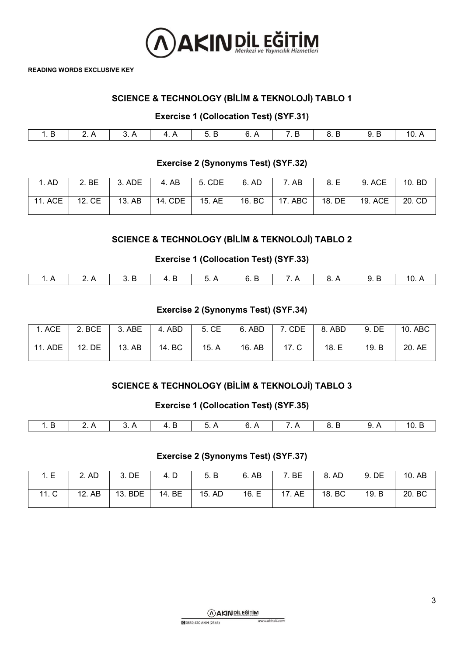

## **SCIENCE & TECHNOLOGY (BİLİM & TEKNOLOJİ) TABLO 1**

## **Exercise 1 (Collocation Test) (SYF.31)**

|  |  |  | 7 ⊨ |  |  |
|--|--|--|-----|--|--|

## **Exercise 2 (Synonyms Test) (SYF.32)**

| . AD    | 2. BE  | 3. ADE | 4. AB   | 5. CDE | 6. AD  | AB.       | 8. E   | 9. ACE  | 10. BD |
|---------|--------|--------|---------|--------|--------|-----------|--------|---------|--------|
| 11. ACE | 12. CE | 13. AB | 14. CDE | 15. AE | 16. BC | $17.$ ABC | 18. DE | 19. ACE | 20. CD |

## **SCIENCE & TECHNOLOGY (BİLİM & TEKNOLOJİ) TABLO 2**

## **Exercise 1 (Collocation Test) (SYF.33)**

|  | $\overline{3}$ R | 4 R | $\sqrt{5}$ | I RR | 7 A | $\mathsf{R}$ $\mathsf{A}$ | 9 R - |  |
|--|------------------|-----|------------|------|-----|---------------------------|-------|--|

## **Exercise 2 (Synonyms Test) (SYF.34)**

| $\mathsf{I}$ . ACE | 2. BCE | 3. ABE | 4. ABD | 5. CE | 6. ABD | 7. CDE | 8. ABD | 9. DE | 10. ABC |
|--------------------|--------|--------|--------|-------|--------|--------|--------|-------|---------|
| 11. ADE            | 12. DE | 13. AB | 14. BC | 15. A | 16. AB | 17. C  | 18. E  | 19. B | 20. AE  |

## **SCIENCE & TECHNOLOGY (BİLİM & TEKNOLOJİ) TABLO 3**

#### **Exercise 1 (Collocation Test) (SYF.35)**

| 1.B   2.A   3.A   4.B   5.A   6.A   7.A   8.B   9.A   10.B |  |  |  |  |
|------------------------------------------------------------|--|--|--|--|
|                                                            |  |  |  |  |

## **Exercise 2 (Synonyms Test) (SYF.37)**

| I E<br>. ∟            | 2. AD     | DE<br>2<br>J. | 4. D   | 5. B   | 6. AB | BE              | 8. AD            | 9. DE | 10. AB |
|-----------------------|-----------|---------------|--------|--------|-------|-----------------|------------------|-------|--------|
| $\sim$<br>44<br>ں ، ا | AB<br>12. | 13. BDE       | 14. BE | 15. AD | 16. E | <b>AE</b><br>17 | <b>BC</b><br>18. | 19. B | 20. BC |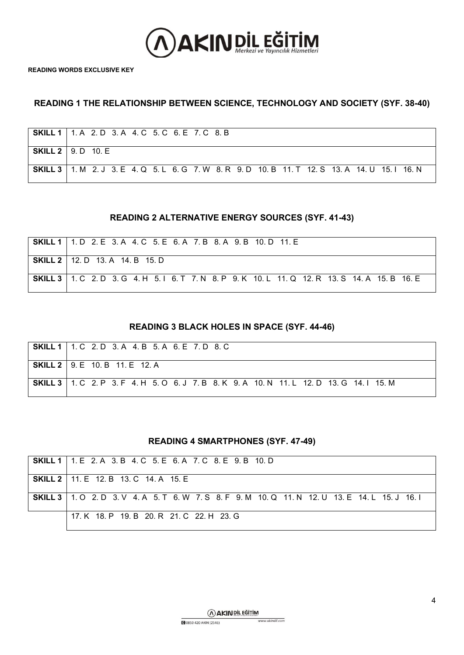

## **READING 1 THE RELATIONSHIP BETWEEN SCIENCE, TECHNOLOGY AND SOCIETY (SYF. 38-40)**

| <b>SKILL 1</b>   1. A 2. D 3. A 4. C 5. C 6. E 7. C 8. B                                                |
|---------------------------------------------------------------------------------------------------------|
| SKILL $2 \mid 9. D \mid 10. E$                                                                          |
| <b>SKILL 3</b>   1. M 2. J 3. E 4. Q 5. L 6. G 7. W 8. R 9. D 10. B 11. T 12. S 13. A 14. U 15. I 16. N |

#### **READING 2 ALTERNATIVE ENERGY SOURCES (SYF. 41-43)**

| <b>SKILL 1</b>   1. D 2. E 3. A 4. C 5. E 6. A 7. B 8. A 9. B 10. D 11. E                               |
|---------------------------------------------------------------------------------------------------------|
| <b>SKILL 2</b>   12. D 13. A 14. B 15. D                                                                |
| <b>SKILL 3</b>   1. C 2. D 3. G 4. H 5. I 6. T 7. N 8. P 9. K 10. L 11. Q 12. R 13. S 14. A 15. B 16. E |

#### **READING 3 BLACK HOLES IN SPACE (SYF. 44-46)**

| <b>SKILL 1</b> 1 1 C 2 D 3 A 4 B 5 A 6 E 7 D 8 C                                                  |
|---------------------------------------------------------------------------------------------------|
| <b>SKILL 2</b>   9. E 10. B 11. E 12. A                                                           |
| <b>SKILL 3</b>   1. C 2. P 3. F 4. H 5. O 6. J 7. B 8. K 9. A 10. N 11. L 12. D 13. G 14. I 15. M |

## **READING 4 SMARTPHONES (SYF. 47-49)**

| <b>SKILL 1</b>   1, E 2, A 3, B 4, C 5, E 6, A 7, C 8, E 9, B 10, D                                     |
|---------------------------------------------------------------------------------------------------------|
| <b>SKILL 2</b>   11. E 12. B 13. C 14. A 15. E                                                          |
| <b>SKILL 3</b>   1. O 2. D 3. V 4. A 5. T 6. W 7. S 8. F 9. M 10. Q 11. N 12. U 13. E 14. L 15. J 16. I |
| 17 K 18 P 19 B 20 R 21 C 22 H 23 G                                                                      |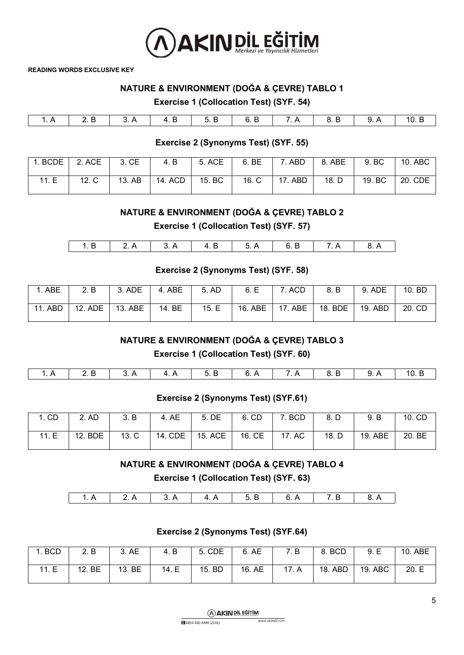

## **NATURE & ENVIRONMENT (DOĞA & ÇEVRE) TABLO 1**

#### **Exercise 1 (Collocation Test) (SYF. 54)**

#### **Exercise 2 (Synonyms Test) (SYF. 55)**

|      | $BCDE$ 2. ACE $\parallel$ 3. CE $\parallel$ |        |         | 4. B   5. ACE |                 |       | 9. BC                          | 10. ABC |
|------|---------------------------------------------|--------|---------|---------------|-----------------|-------|--------------------------------|---------|
| 11.E | 12. C                                       | 13. AB | 14. ACD | 15. B C       | 16. C   17. ABD | 18. D | $\vert$ 19. BC $\vert$ 20. CDE |         |

#### **NATURE & ENVIRONMENT (DOĞA & ÇEVRE) TABLO 2**

**Exercise 1 (Collocation Test) (SYF. 57)**

| $\cdots$ |  | . .<br> |  |  |
|----------|--|---------|--|--|
|          |  |         |  |  |

#### **Exercise 2 (Synonyms Test) (SYF. 58)**

| 1. ABE  | 2. B | $\vert$ 3. ADE $\vert$                                           | 4. ABE | 5. AD | 6. E   7. ACD | 8. B | 9. ADE  | 10. BD |
|---------|------|------------------------------------------------------------------|--------|-------|---------------|------|---------|--------|
| 11. ABD |      | 12. ADE   13. ABE   14. BE   15. E   16. ABE   17. ABE   18. BDE |        |       |               |      | 19. ABD | 20. CD |

#### **NATURE & ENVIRONMENT (DOĞA & ÇEVRE) TABLO 3**

**Exercise 1 (Collocation Test) (SYF. 60)**

|  |  |  | 4A   5R |  |  | $\overline{z}$ | 8. B |  | 10. B |
|--|--|--|---------|--|--|----------------|------|--|-------|
|--|--|--|---------|--|--|----------------|------|--|-------|

#### **Exercise 2 (Synonyms Test) (SYF.61)**

| 1. CD | 2. AD   | 3. B  | 4. AE   | 5. DE     | 6. CD  | 7. BCD | 8. D  | 9. B    | 10. CD |
|-------|---------|-------|---------|-----------|--------|--------|-------|---------|--------|
| 11.E  | 12. BDE | 13. C | 14. CDE | $15.$ ACE | 16. CE | 17. AC | 18. D | 19. ABE | 20. BE |

## **NATURE & ENVIRONMENT (DOĞA & ÇEVRE) TABLO 4**

**Exercise 1 (Collocation Test) (SYF. 63)**

| Λ<br>-<br>$\sim$<br>" |  |  |  |  |
|-----------------------|--|--|--|--|
|                       |  |  |  |  |

## **Exercise 2 (Synonyms Test) (SYF.64)**

| 1. BCD | 2. B   | 3. AE  | 4. B  | 5. CDE | 6. AE  | 7. B  | 8. BCD  | 9.E     | 10. ABE |
|--------|--------|--------|-------|--------|--------|-------|---------|---------|---------|
| 11.E   | 12. BE | 13. BE | 14. E | 15. BD | 16. AE | 17. A | 18. ABD | 19. ABC | 20. E   |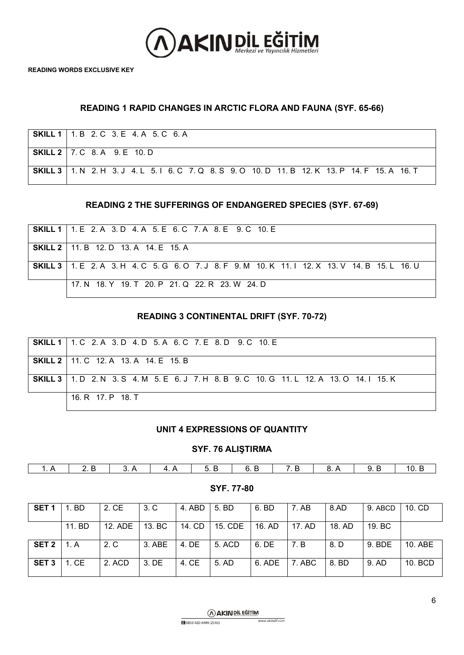

## **READING 1 RAPID CHANGES IN ARCTIC FLORA AND FAUNA (SYF. 65-66)**

| <b>SKILL 1</b>   1. B 2. C 3. E 4. A 5. C 6. A                                                          |
|---------------------------------------------------------------------------------------------------------|
| <b>SKILL 2</b>   7. C 8. A 9. E 10. D                                                                   |
| <b>SKILL 3</b>   1. N 2. H 3. J 4. L 5. I 6. C 7. Q 8. S 9. O 10. D 11. B 12. K 13. P 14. F 15. A 16. T |

#### **READING 2 THE SUFFERINGS OF ENDANGERED SPECIES (SYF. 67-69)**

| <b>SKILL 1</b> 1 E 2 A 3 D 4 A 5 E 6 C 7 A 8 E 9 C 10 E                                                 |
|---------------------------------------------------------------------------------------------------------|
| <b>SKILL 2</b>   11. B 12. D 13. A 14. E 15. A                                                          |
| <b>SKILL 3</b>   1. E 2. A 3. H 4. C 5. G 6. O 7. J 8. F 9. M 10. K 11. I 12. X 13. V 14. B 15. L 16. U |
| 17. N 18. Y 19. T 20. P 21. Q 22. R 23. W 24. D                                                         |

#### **READING 3 CONTINENTAL DRIFT (SYF. 70-72)**

| <b>SKILL 1</b>   1, C 2, A 3, D 4, D 5, A 6, C 7, E 8, D 9, C 10, E                               |
|---------------------------------------------------------------------------------------------------|
| <b>SKILL 2</b>   11. C 12. A 13. A 14. E 15. B                                                    |
| <b>SKILL 3</b>   1. D 2. N 3. S 4. M 5. E 6. J 7. H 8. B 9. C 10. G 11. L 12. A 13. O 14. I 15. K |
| 16 R 17 P 18 T                                                                                    |

#### **UNIT 4 EXPRESSIONS OF QUANTITY**

#### **SYF. 76 ALIŞTIRMA**

|--|

**SYF. 77-80**

| SET <sub>1</sub> | 1. BD  | 2. CE   | 3. C   | 4. ABD | 5. BD   | 6. BD  | - 7. AB | 8.AD   | 9. ABCD | $10.$ CD |
|------------------|--------|---------|--------|--------|---------|--------|---------|--------|---------|----------|
|                  | 11. BD | 12. ADE | 13. BC | 14. CD | 15. CDE | 16. AD | 17. AD  | 18. AD | 19. BC  |          |
| SET 2            | 1. A   | 2. C    | 3. ABE | 4. DE  | 5. ACD  | 6. DE  | -7. B   | 8. D   | 9. BDE  | 10. ABE  |
| SET <sub>3</sub> | 1. CE  | 2. ACD  | 3. DE  | 4. CE  | 5. AD   | 6. ADE | 7. ABC  | 8. BD  | 9. AD   | 10. BCD  |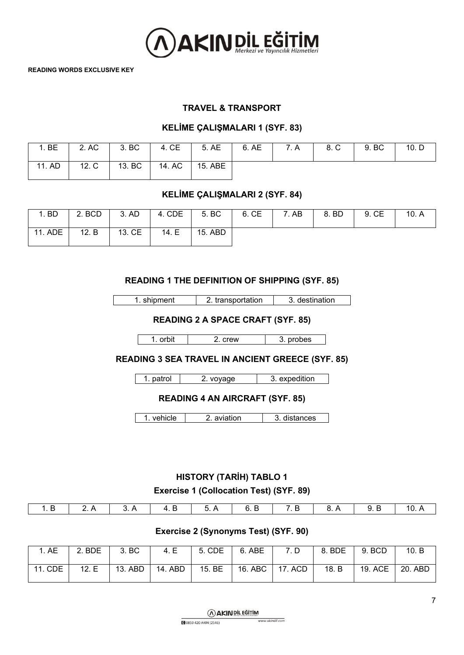

### **TRAVEL & TRANSPORT**

#### **KELİME ÇALIŞMALARI 1 (SYF. 83)**

| BE<br>$\overline{ }$ | 2. AC | 3. BC  | 4. CE  | 5. AE   | 6. AE | 7. A | 8. C | 9. BC | 10. D |
|----------------------|-------|--------|--------|---------|-------|------|------|-------|-------|
| 11. AD               | 12. C | 13. BC | 14. AC | 15. ABE |       |      |      |       |       |

#### **KELİME ÇALIŞMALARI 2 (SYF. 84)**

| <b>BD</b> | 2. BCD | 3. AD  | 4. CDE | 5. BC   | 6. CE | 7. AB | 8. BD | 9. CE | 10. A |
|-----------|--------|--------|--------|---------|-------|-------|-------|-------|-------|
| 11. ADE   | 12. B  | 13. CE | 14. E  | 15. ABD |       |       |       |       |       |

## **READING 1 THE DEFINITION OF SHIPPING (SYF. 85)**

1. shipment 2. transportation 3. destination

**READING 2 A SPACE CRAFT (SYF. 85)**

1. orbit 2. crew 3. probes

**READING 3 SEA TRAVEL IN ANCIENT GREECE (SYF. 85)**

1. patrol 2. voyage 3. expedition

## **READING 4 AN AIRCRAFT (SYF. 85)**

1. vehicle 2. aviation 3. distances

# **HISTORY (TARİH) TABLO 1 Exercise 1 (Collocation Test) (SYF. 89)**

|  |  |  |  | 1.B   2.A   3.A   4.B   5.A   6.B   7.B   8.A   9.B   10.A <sub> </sub> |
|--|--|--|--|-------------------------------------------------------------------------|
|  |  |  |  |                                                                         |

## **Exercise 2 (Synonyms Test) (SYF. 90)**

| 1. AE   | 2. BDE | 3. BC   | 4. E    | 5. CDE             | 6. ABE            | 7. D | $8.$ BDE $\parallel$ | 9. BCD  | 10. B   |
|---------|--------|---------|---------|--------------------|-------------------|------|----------------------|---------|---------|
| 11. CDE | 12. E  | 13. ABD | 14. ABD | 15. BE $\parallel$ | 16. ABC   17. ACD |      | 18. B                | 19. ACE | 20. ABD |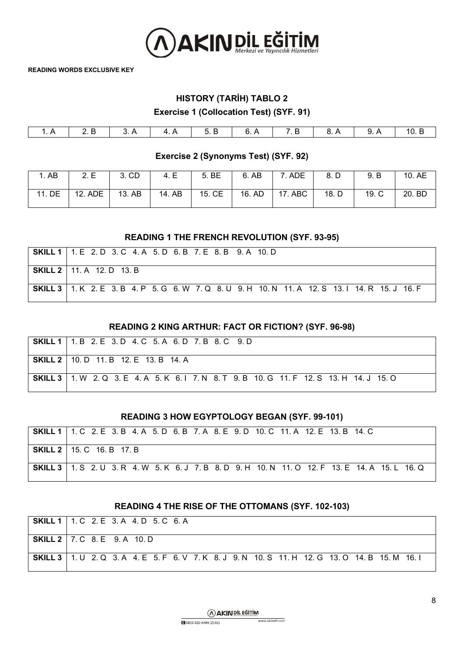

# **HISTORY (TARİH) TABLO 2**

**Exercise 1 (Collocation Test) (SYF. 91)**

| ,, |  | . .<br>. .<br>້<br>$\sim$ $\sim$ $\sim$ $\sim$ $\sim$ $\sim$ $\sim$ $\sim$ | . . | - | v. | "<br>. . | v. ∟ |
|----|--|----------------------------------------------------------------------------|-----|---|----|----------|------|

**Exercise 2 (Synonyms Test) (SYF. 92)**

| AB     | 2.E     | 3. CD  | 4. E   | 5. BE  | 6. AB  | '. ADE<br>⇁       | 8. D  | 9. B  | 10. AE |
|--------|---------|--------|--------|--------|--------|-------------------|-------|-------|--------|
| 11. DE | 12. ADE | 13. AB | 14. AB | 15. CE | 16. AD | <b>ABC</b><br>17. | 18. D | 19. C | 20. BD |

#### **READING 1 THE FRENCH REVOLUTION (SYF. 93-95)**

| <b>SKILL 1</b> 1 E 2 D 3 C 4 A 5 D 6 B 7 E 8 B 9 A 10 D                                                 |
|---------------------------------------------------------------------------------------------------------|
| <b>SKILL 2</b>   11. A 12. D 13. B                                                                      |
| <b>SKILL 3</b>   1. K 2. E 3. B 4. P 5. G 6. W 7. Q 8. U 9. H 10. N 11. A 12. S 13. I 14. R 15. J 16. F |

#### **READING 2 KING ARTHUR: FACT OR FICTION? (SYF. 96-98)**

| <b>SKILL 1</b>   1, B 2, E 3, D 4, C 5, A 6, D 7, B 8, C 9, D                                     |
|---------------------------------------------------------------------------------------------------|
| <b>SKILL 2</b>   10. D 11. B 12. E 13. B 14. A                                                    |
| <b>SKILL 3</b>   1. W 2. Q 3. E 4. A 5. K 6. I 7. N 8. T 9. B 10. G 11. F 12. S 13. H 14. J 15. O |

#### **READING 3 HOW EGYPTOLOGY BEGAN (SYF. 99-101)**

| <b>SKILL 1</b>   1. C 2. E 3. B 4. A 5. D 6. B 7. A 8. E 9. D 10. C 11. A 12. E 13. B 14. C             |
|---------------------------------------------------------------------------------------------------------|
| <b>SKILL 2</b>   15. C 16. B 17. B                                                                      |
| <b>SKILL 3</b>   1. S 2. U 3. R 4. W 5. K 6. J 7. B 8. D 9. H 10. N 11. O 12. F 13. E 14. A 15. L 16. Q |

#### **READING 4 THE RISE OF THE OTTOMANS (SYF. 102-103)**

| <b>SKILL 1</b>   1. C 2. E 3. A 4. D 5. C 6. A                                                          |
|---------------------------------------------------------------------------------------------------------|
| <b>SKILL 2</b>   7. C 8. E 9. A 10. D                                                                   |
| <b>SKILL 3</b>   1. U 2. Q 3. A 4. E 5. F 6. V 7. K 8. J 9. N 10. S 11. H 12. G 13. O 14. B 15. M 16. I |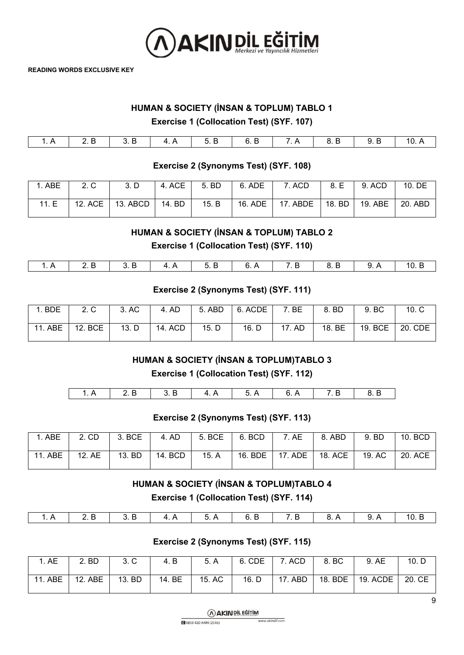

## **HUMAN & SOCIETY (İNSAN & TOPLUM) TABLO 1**

**Exercise 1 (Collocation Test) (SYF. 107)**

| <u>.</u> . | ⊷<br>◡. ◡ | . .<br>. .<br>◡. ◡ | ĥ.<br>v.<br>- | $\overline{\phantom{a}}$ | D<br>o<br>0. L | . .<br>◡. ◡ | 10.7. |
|------------|-----------|--------------------|---------------|--------------------------|----------------|-------------|-------|

## **Exercise 2 (Synonyms Test) (SYF. 108)**

| $\therefore$ ABE | 2. C | 3. D               | 4. ACE | 5. BD | 6. ADE  | 7. ACD     | 8. E     | 9. ACD  | 10. DE  |
|------------------|------|--------------------|--------|-------|---------|------------|----------|---------|---------|
| 11.E             |      | 12. ACE   13. ABCD | 14. BD | 15. B | 16. ADE | $17.$ ABDE | $18.$ BD | 19. ABE | 20. ABD |

## **HUMAN & SOCIETY (İNSAN & TOPLUM) TABLO 2**

**Exercise 1 (Collocation Test) (SYF. 110)**

| 1.A   2.B   3.B   4.A   5.B   6.A   7.B   8.B   9.A   10.B |  |  |  |  |  |
|------------------------------------------------------------|--|--|--|--|--|
|                                                            |  |  |  |  |  |

## **Exercise 2 (Synonyms Test) (SYF. 111)**

| <b>BDE</b> | 2. C    | 3. AC | 4. AD   | 5. ABD | 6. ACDE | 7. BE  | 8. BD  | 9. BC   | 10 <sub>c</sub> |
|------------|---------|-------|---------|--------|---------|--------|--------|---------|-----------------|
| ABE<br>11  | 12. BCE | 13. D | 14. ACD | 15. D  | 16. D   | 17. AD | 18. BE | 19. BCE | 20. CDE         |

## **HUMAN & SOCIETY (İNSAN & TOPLUM)TABLO 3**

**Exercise 1 (Collocation Test) (SYF. 112)**

| . |  | ,,<br>. | . | ∽<br>. | - |
|---|--|---------|---|--------|---|
|   |  |         |   |        |   |

#### **Exercise 2 (Synonyms Test) (SYF. 113)**

| ABE     | 2. CD  | 3. BCE | 4. AD   | 5. BCE   6. BCD |         | 7. AE   | 8. ABD  | 9. BD  | 10. BCD |
|---------|--------|--------|---------|-----------------|---------|---------|---------|--------|---------|
| 11. ABE | 12. AE | 13. BD | 14. BCD | 15. A           | 16. BDE | 17. ADE | 18. ACE | 19. AC | 20. ACE |

# **HUMAN & SOCIETY (İNSAN & TOPLUM)TABLO 4 Exercise 1 (Collocation Test) (SYF. 114)**

#### **Exercise 2 (Synonyms Test) (SYF. 115)**

| . AE    | 2. BD          | 3. C   | 4. B   | 5. A   | 6. CDE | 7. ACD  | 8. BC   | 9. AE    | 10. D  |
|---------|----------------|--------|--------|--------|--------|---------|---------|----------|--------|
| 11. ABE | <b>12. ABE</b> | 13. BD | 14. BE | 15. AC | 16. D  | 17. ABD | 18. BDE | 19. ACDE | 20. CE |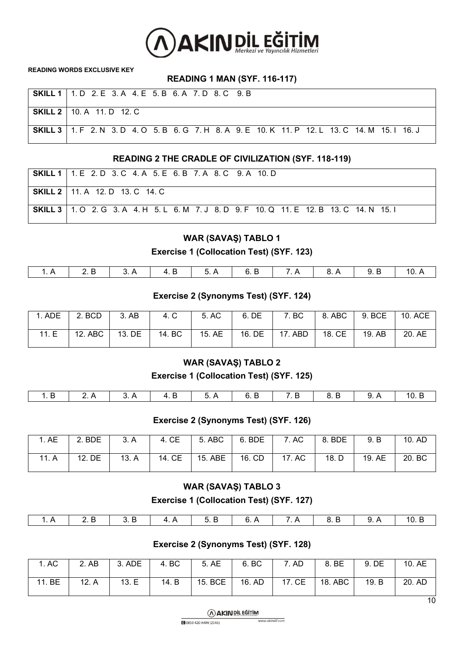

## **READING 1 MAN (SYF. 116-117)**

| SKILL 1   1. D 2. E 3. A 4. E 5. B 6. A 7. D 8. C 9. B                                                  |
|---------------------------------------------------------------------------------------------------------|
| <b>SKILL 2</b>   10. A 11. D 12. C                                                                      |
| <b>SKILL 3</b>   1. F 2. N 3. D 4. O 5. B 6. G 7. H 8. A 9. E 10. K 11. P 12. L 13. C 14. M 15. I 16. J |

## **READING 2 THE CRADLE OF CIVILIZATION (SYF. 118-119)**

| <b>SKILL 1</b>   1. E 2. D 3. C 4. A 5. E 6. B 7. A 8. C 9. A 10. D                               |
|---------------------------------------------------------------------------------------------------|
| <b>SKILL 2</b>   11. A 12. D 13. C 14. C                                                          |
| <b>SKILL 3</b>   1. O 2. G 3. A 4. H 5. L 6. M 7. J 8. D 9. F 10. Q 11. E 12. B 13. C 14. N 15. I |

## **WAR (SAVAŞ) TABLO 1 Exercise 1 (Collocation Test) (SYF. 123)**

| 7 A<br>$\mathbf{A}$ R<br>10 A<br>- 6 F |  |  |  |  |  |
|----------------------------------------|--|--|--|--|--|
|                                        |  |  |  |  |  |

## **Exercise 2 (Synonyms Test) (SYF. 124)**

| $1.$ ADE $\perp$ | $\vert$ 2. BCD   | 3.AB | 4. C            | 5. AC | 6. DE | 7. BC            |                 | $\vert$ 8. ABC $\vert$ 9. BCE $\vert$ | 10. ACE |
|------------------|------------------|------|-----------------|-------|-------|------------------|-----------------|---------------------------------------|---------|
| 11. E            | 12. ABC   13. DE |      | 14. BC   15. AE |       |       | 16. DE   17. ABD | 18. CE   19. AB |                                       | 20. AE  |

## **WAR (SAVAŞ) TABLO 2**

**Exercise 1 (Collocation Test) (SYF. 125)**

| i 1.B 2.A 3.A 4.B 5.A 6.B 7.B 8.B 9.A <sup>1</sup> |  |  |  |  |
|----------------------------------------------------|--|--|--|--|
|                                                    |  |  |  |  |

#### **Exercise 2 (Synonyms Test) (SYF. 126)**

| . AE  | 2. BDE | 3. A  | 4. CE  | 5. ABC  | 6. BDE | 7. AC  | 8. BDE | 9. B   | 10. AD |
|-------|--------|-------|--------|---------|--------|--------|--------|--------|--------|
| 11. A | 12. DE | 13. A | 14. CE | 15. ABE | 16. CD | 17. AC | 18. D  | 19. AE | 20. BC |

#### **WAR (SAVAŞ) TABLO 3**

**Exercise 1 (Collocation Test) (SYF. 127)**

#### **Exercise 2 (Synonyms Test) (SYF. 128)**

| 11. BE<br>17. CE<br>15. BCE<br>18. ABC<br>13. E<br>16. AD<br>14. B<br>20. AD<br>19. B<br>12. A | 1. AC | 2. AB | 3. ADE | 4. BC | 5. AE | 6. BC | AD | 8. BE | 9. DE | 10. AE |
|------------------------------------------------------------------------------------------------|-------|-------|--------|-------|-------|-------|----|-------|-------|--------|
|                                                                                                |       |       |        |       |       |       |    |       |       |        |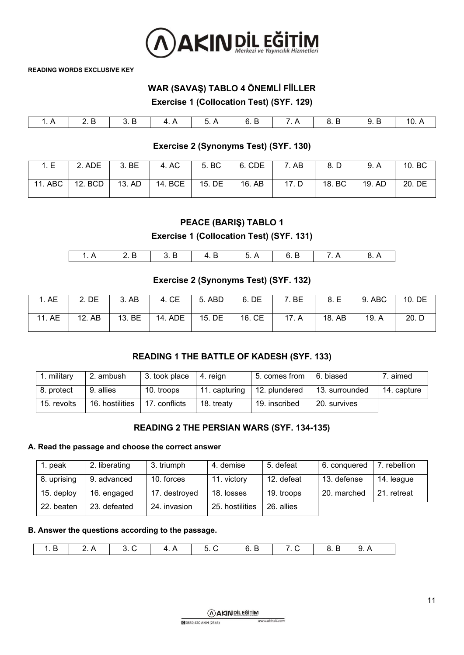

# **WAR (SAVAŞ) TABLO 4 ÖNEMLİ FİİLLER**

**Exercise 1 (Collocation Test) (SYF. 129)**

| 5 A<br>$\overline{A}$<br>6 |  |  |  |  |  |  |
|----------------------------|--|--|--|--|--|--|
|                            |  |  |  |  |  |  |

## **Exercise 2 (Synonyms Test) (SYF. 130)**

| 1.E     | 2. ADE  | 3. BE  | 4. AC   | 5. BC  | 6. CDE | 7. AB | 8. D   | 9. A   | 10. BC |
|---------|---------|--------|---------|--------|--------|-------|--------|--------|--------|
| 11. ABC | 12. BCD | 13. AD | 14. BCE | 15. DE | 16. AB | 17. D | 18. BC | 19. AD | 20. DE |

## **PEACE (BARIŞ) TABLO 1**

**Exercise 1 (Collocation Test) (SYF. 131)**

## **Exercise 2 (Synonyms Test) (SYF. 132)**

| i. AE  | 2. DE  | 3. AB  | 4. CE   | 5. ABD | 6. DE  | BE<br>⇁ | 8. E   | 9. ABC | 10. DE |
|--------|--------|--------|---------|--------|--------|---------|--------|--------|--------|
| 11. AE | 12. AB | 13. BE | 14. ADE | 15. DE | 16. CE | 17. A   | 18. AB | 19. A  | 20. D  |

## **READING 1 THE BATTLE OF KADESH (SYF. 133)**

| military    | 2. ambush       | 3. took place | 4. reian      | 5. comes from | 6. biased      | . aimed     |
|-------------|-----------------|---------------|---------------|---------------|----------------|-------------|
| 8. protect  | 9. allies       | 10. troops    | 11. capturing | 12. plundered | 13. surrounded | 14. capture |
| 15. revolts | 16. hostilities | 17. conflicts | 18. treaty    | 19. inscribed | 20. survives   |             |

#### **READING 2 THE PERSIAN WARS (SYF. 134-135)**

#### **A. Read the passage and choose the correct answer**

| . peak      | 2. liberating | 3. triumph    | 4. demise       | 5. defeat  | 6. conquered | 7. rebellion |
|-------------|---------------|---------------|-----------------|------------|--------------|--------------|
| 8. uprising | 9. advanced   | 10. forces    | 11. victory     | 12. defeat | 13. defense  | 14. league   |
| 15. deploy  | 16. engaged   | 17. destroyed | 18. losses      | 19. troops | 20. marched  | 21. retreat  |
| 22. beaten  | 23. defeated  | 24. invasion  | 25. hostilities | 26. allies |              |              |

#### **B. Answer the questions according to the passage.**

| ___ |  |  |  |  |  |  |
|-----|--|--|--|--|--|--|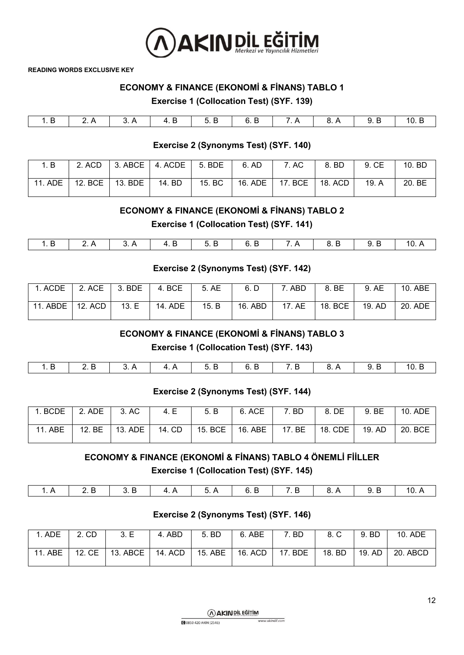

## **ECONOMY & FINANCE (EKONOMİ & FİNANS) TABLO 1**

**Exercise 1 (Collocation Test) (SYF. 139)**

|  |  | 6<br>$\sim$ $\sim$ |  | $\sim$ $\sim$ $\sim$ $\sim$ $\sim$ $\sim$ $\sim$ |  |
|--|--|--------------------|--|--------------------------------------------------|--|
|  |  |                    |  |                                                  |  |

## **Exercise 2 (Synonyms Test) (SYF. 140)**

| 1. B    |  | 2. ACD $\vert$ 3. ABCE $\vert$ 4. ACDE $\vert$ 5. BDE $\vert$ | 6. AD | 7. AC                                                             | 8. BD | 9. CE | 10. BD |
|---------|--|---------------------------------------------------------------|-------|-------------------------------------------------------------------|-------|-------|--------|
| 11. ADE |  |                                                               |       | 12. BCE   13. BDE   14. BD   15. BC   16. ADE   17. BCE   18. ACD |       | 19. A | 20. BE |

## **ECONOMY & FINANCE (EKONOMİ & FİNANS) TABLO 2**

**Exercise 1 (Collocation Test) (SYF. 141)**

| $-$ |  |  |  | -- |  |
|-----|--|--|--|----|--|
|     |  |  |  |    |  |

## **Exercise 2 (Synonyms Test) (SYF. 142)**

| 1. ACDE            | 2. ACE 3. BDE | 4. BCE  | 5. AE | 6. D    | 7. ABD | 8. BE            | 9. AE  | 10. ABE |
|--------------------|---------------|---------|-------|---------|--------|------------------|--------|---------|
| 11. ABDE   12. ACD | 13. E         | 14. ADE | 15. B | 16. ABD |        | 17. AE   18. BCE | 19. AD | 20. ADE |

## **ECONOMY & FINANCE (EKONOMİ & FİNANS) TABLO 3**

**Exercise 1 (Collocation Test) (SYF. 143)**

| 1.B   2.B   3.A   4.A   5.B   6.B   7.B   8.A   9.B   10.B |  |  |  |  |
|------------------------------------------------------------|--|--|--|--|
|                                                            |  |  |  |  |

#### **Exercise 2 (Synonyms Test) (SYF. 144)**

| 1. BCDE | $\vert$ 2. ADE $\vert$ 3. AC | 4. E                      | 5. B | 6. ACE            | 7. BD  | 8. DE   | 9. BE  | 10. ADE |
|---------|------------------------------|---------------------------|------|-------------------|--------|---------|--------|---------|
| 11. ABE |                              | 12. BE   13. ADE   14. CD |      | 15. BCE   16. ABE | 17. BE | 18. CDE | 19. AD | 20. BCE |

# **ECONOMY & FINANCE (EKONOMİ & FİNANS) TABLO 4 ÖNEMLİ FİİLLER Exercise 1 (Collocation Test) (SYF. 145)**

| . .<br>. |  | J.<br>. . | E | $   -$ | .<br>. . | 1 O<br>. . |
|----------|--|-----------|---|--------|----------|------------|

#### **Exercise 2 (Synonyms Test) (SYF. 146)**

| 1. ADE  | 2. CD  | 3.E                                    | 4. ABD  | 5. BD     | 6. ABE  | 7. BD   | 8. C   | 9. BD  | 10. ADE  |
|---------|--------|----------------------------------------|---------|-----------|---------|---------|--------|--------|----------|
| 11. ABE | 12. CE | $\overline{1}$ 13. ABCE $\overline{1}$ | 14. ACD | $15.$ ABE | 16. ACD | 17. BDE | 18. BD | 19. AD | 20. ABCD |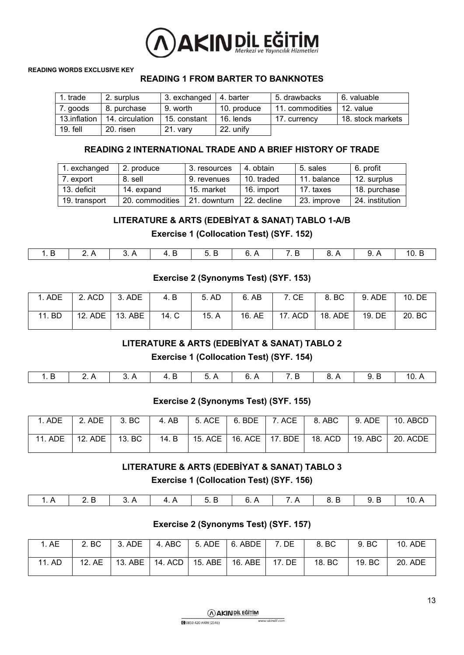

## **READING 1 FROM BARTER TO BANKNOTES**

| 1. trade     | 2. surplus      | 3. exchanged | 4. barter   | 5. drawbacks    | 6. valuable       |
|--------------|-----------------|--------------|-------------|-----------------|-------------------|
| 7. goods     | 8. purchase     | 9. worth     | 10. produce | 11. commodities | 12. value         |
| 13.inflation | 14. circulation | 15. constant | 16. lends   | 17. currency    | 18. stock markets |
| $19.$ fell   | 20. risen       | $21.$ vary   | 22. unify   |                 |                   |

## **READING 2 INTERNATIONAL TRADE AND A BRIEF HISTORY OF TRADE**

| 1. exchanged  | 2. produce                     | 3. resources | 4. obtain   | 5. sales    | 6. profit       |
|---------------|--------------------------------|--------------|-------------|-------------|-----------------|
| 7. export     | 8. sell                        | 9. revenues  | 10. traded  | 11. balance | 12. surplus     |
| 13. deficit   | 14. expand                     | 15. market   | 16. import  | 17. taxes   | 18. purchase    |
| 19. transport | 20. commodities 1 21. downturn |              | 22. decline | 23. improve | 24. institution |

## **LITERATURE & ARTS (EDEBİYAT & SANAT) TABLO 1-A/B**

**Exercise 1 (Collocation Test) (SYF. 152)**

|  | - | - | <u>ີ່</u> | - |  | E<br>10<br>سا ہ |
|--|---|---|-----------|---|--|-----------------|

## **Exercise 2 (Synonyms Test) (SYF. 153)**

| 1. ADE | $\overline{2}$ . ACD | $\vert$ 3. ADE | 4. B  | 5. AD | 6. AB | 7. CE                               | $\overline{8}$ . BC | $9.$ ADE | 10. DE |
|--------|----------------------|----------------|-------|-------|-------|-------------------------------------|---------------------|----------|--------|
| 11. BD | 12. ADE   13. ABE    |                | 14. C | 15. A |       | 16. AE   17. ACD   18. ADE   19. DE |                     |          | 20. BC |

### **LITERATURE & ARTS (EDEBİYAT & SANAT) TABLO 2**

**Exercise 1 (Collocation Test) (SYF. 154)**

## **Exercise 2 (Synonyms Test) (SYF. 155)**

| 1. ADE                     | $\vert$ 2. ADE $\vert$ 3. BC |  |  | 4. AB   5. ACE   6. BDE   7. ACE   8. ABC                          | $\vert$ 9. ADE $\vert$ 10. ABCD |
|----------------------------|------------------------------|--|--|--------------------------------------------------------------------|---------------------------------|
| 11. ADE   12. ADE   13. BC |                              |  |  | 14. B   15. ACE   16. ACE   17. BDE   18. ACD   19. ABC   20. ACDE |                                 |

**LITERATURE & ARTS (EDEBİYAT & SANAT) TABLO 3**

**Exercise 1 (Collocation Test) (SYF. 156)**

| 1.A   2.B   3.A   4.A   5.B   6.A   7.A   8.B   9.B   10.A |  |  |  |  |  |
|------------------------------------------------------------|--|--|--|--|--|
|                                                            |  |  |  |  |  |

## **Exercise 2 (Synonyms Test) (SYF. 157)**

| AE          | 2. BC  | 3. ADE  | 4. ABC  | 5. ADE  | 6. ABDE | DE     | 8. BC     | 9. BC  | 10. ADE |
|-------------|--------|---------|---------|---------|---------|--------|-----------|--------|---------|
| 1. AD<br>11 | 12. AE | 13. ABE | 14. ACD | 15. ABE | 16. ABE | 17. DE | BC<br>18. | 19. BC | 20. ADE |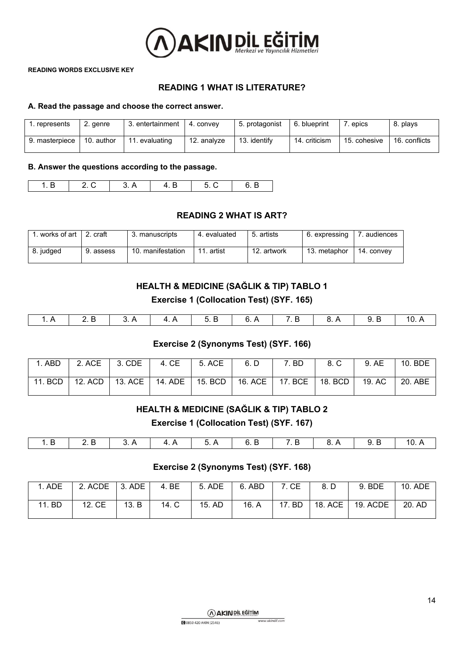

## **READING 1 WHAT IS LITERATURE?**

#### **A. Read the passage and choose the correct answer.**

| 1. represents  | 2. genre   | 3. entertainment     | 4. convev   | 5. protagonist | 6. blueprint  | . epics      | 8. plays      |
|----------------|------------|----------------------|-------------|----------------|---------------|--------------|---------------|
| 9. masterpiece | 10. author | . evaluating<br>  11 | 12. analvze | 13. identify   | 14. criticism | 15. cohesive | 16. conflicts |

#### **B. Answer the questions according to the passage.**

| -- |  | ъ. |  |
|----|--|----|--|

#### **READING 2 WHAT IS ART?**

| . works of art | craft     | 3. manuscripts    | 4. evaluated | 5. artists  | 6. expressing | audiences  |
|----------------|-----------|-------------------|--------------|-------------|---------------|------------|
| 8. judged      | 9. assess | 10. manifestation | 11<br>artist | 12. artwork | 13. metaphor  | 14. convev |

# **HEALTH & MEDICINE (SAĞLIK & TIP) TABLO 1 Exercise 1 (Collocation Test) (SYF. 165)**

|  | 3 A | $\overline{A}$ $\overline{A}$ | _ና ⊅ | 7 R | R A |  |
|--|-----|-------------------------------|------|-----|-----|--|

#### **Exercise 2 (Synonyms Test) (SYF. 166)**

|  |  |  | 1. ABD   2. ACE   3. CDE   4. CE   5. ACE   6. D   7. BD   8. C   9. AE   10. BDE                |  |  |
|--|--|--|--------------------------------------------------------------------------------------------------|--|--|
|  |  |  | 11. BCD   12. ACD   13. ACE   14. ADE   15. BCD   16. ACE   17. BCE   18. BCD   19. AC   20. ABE |  |  |

## **HEALTH & MEDICINE (SAĞLIK & TIP) TABLO 2**

**Exercise 1 (Collocation Test) (SYF. 167)**

| . . |  |  |  |  |  |
|-----|--|--|--|--|--|
|     |  |  |  |  |  |

## **Exercise 2 (Synonyms Test) (SYF. 168)**

| . ADE  | 2. ACDE   3. ADE |       | 4. BE |        | 5. ADE   6. ABD | 7. CE  | 8. D | 9. BDE                           | 10. ADE |
|--------|------------------|-------|-------|--------|-----------------|--------|------|----------------------------------|---------|
| 11. BD | 12. CE           | 13. B | 14. C | 15. AD | 16. A           | 17. BD |      | $\vert$ 18. ACE $\vert$ 19. ACDE | 20. AD  |